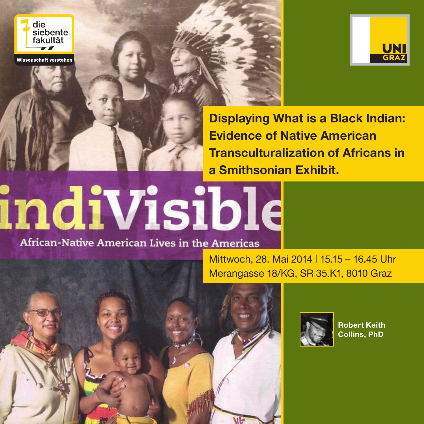



**Displaying What is a Black Indian: Evidence of Native American Transculturalization of Africans in a Smithsonian Exhibit.** 

## indiVisible

African-Native American Lives in the Americas

Mittwoch, 28. Mai 2014 | 15.15 – 16.45 Uhr Merangasse 18/KG, SR 35.K1, 8010 Graz





**Robert Keith Collins, PhD**